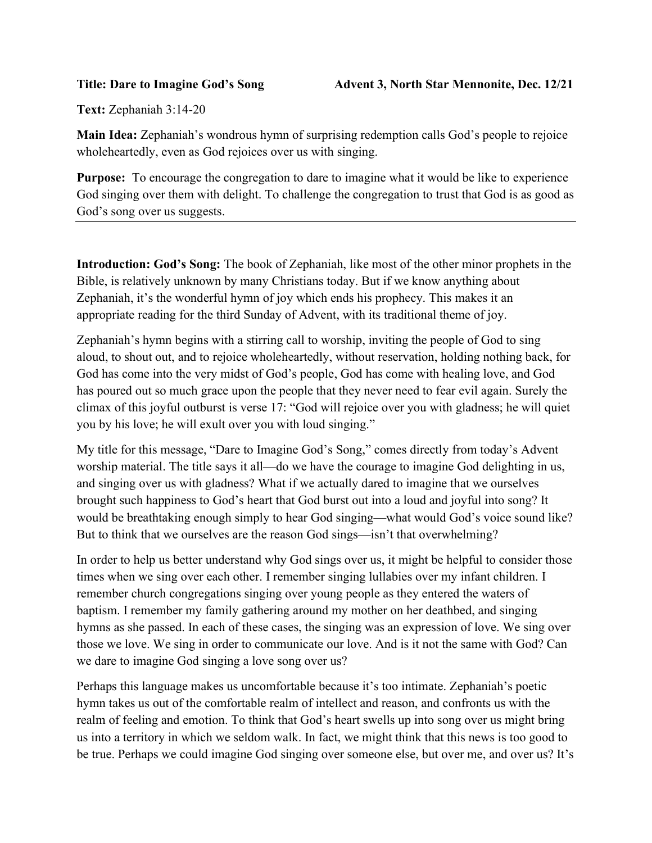Text: Zephaniah 3:14-20

Main Idea: Zephaniah's wondrous hymn of surprising redemption calls God's people to rejoice wholeheartedly, even as God rejoices over us with singing.

Purpose: To encourage the congregation to dare to imagine what it would be like to experience God singing over them with delight. To challenge the congregation to trust that God is as good as God's song over us suggests.

Introduction: God's Song: The book of Zephaniah, like most of the other minor prophets in the Bible, is relatively unknown by many Christians today. But if we know anything about Zephaniah, it's the wonderful hymn of joy which ends his prophecy. This makes it an appropriate reading for the third Sunday of Advent, with its traditional theme of joy.

Zephaniah's hymn begins with a stirring call to worship, inviting the people of God to sing aloud, to shout out, and to rejoice wholeheartedly, without reservation, holding nothing back, for God has come into the very midst of God's people, God has come with healing love, and God has poured out so much grace upon the people that they never need to fear evil again. Surely the climax of this joyful outburst is verse 17: "God will rejoice over you with gladness; he will quiet you by his love; he will exult over you with loud singing."

My title for this message, "Dare to Imagine God's Song," comes directly from today's Advent worship material. The title says it all—do we have the courage to imagine God delighting in us, and singing over us with gladness? What if we actually dared to imagine that we ourselves brought such happiness to God's heart that God burst out into a loud and joyful into song? It would be breathtaking enough simply to hear God singing—what would God's voice sound like? But to think that we ourselves are the reason God sings—isn't that overwhelming?

In order to help us better understand why God sings over us, it might be helpful to consider those times when we sing over each other. I remember singing lullabies over my infant children. I remember church congregations singing over young people as they entered the waters of baptism. I remember my family gathering around my mother on her deathbed, and singing hymns as she passed. In each of these cases, the singing was an expression of love. We sing over those we love. We sing in order to communicate our love. And is it not the same with God? Can we dare to imagine God singing a love song over us?

Perhaps this language makes us uncomfortable because it's too intimate. Zephaniah's poetic hymn takes us out of the comfortable realm of intellect and reason, and confronts us with the realm of feeling and emotion. To think that God's heart swells up into song over us might bring us into a territory in which we seldom walk. In fact, we might think that this news is too good to be true. Perhaps we could imagine God singing over someone else, but over me, and over us? It's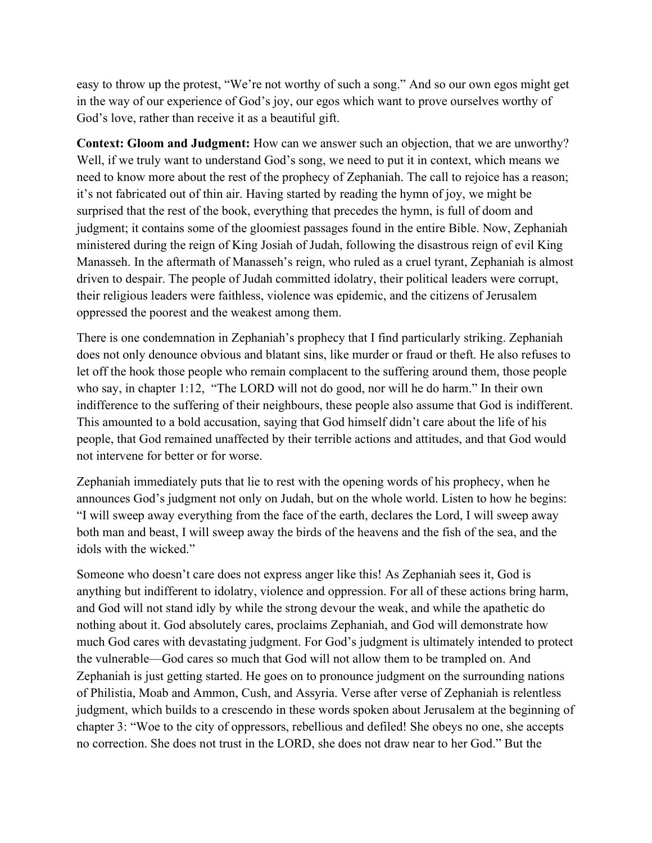easy to throw up the protest, "We're not worthy of such a song." And so our own egos might get in the way of our experience of God's joy, our egos which want to prove ourselves worthy of God's love, rather than receive it as a beautiful gift.

Context: Gloom and Judgment: How can we answer such an objection, that we are unworthy? Well, if we truly want to understand God's song, we need to put it in context, which means we need to know more about the rest of the prophecy of Zephaniah. The call to rejoice has a reason; it's not fabricated out of thin air. Having started by reading the hymn of joy, we might be surprised that the rest of the book, everything that precedes the hymn, is full of doom and judgment; it contains some of the gloomiest passages found in the entire Bible. Now, Zephaniah ministered during the reign of King Josiah of Judah, following the disastrous reign of evil King Manasseh. In the aftermath of Manasseh's reign, who ruled as a cruel tyrant, Zephaniah is almost driven to despair. The people of Judah committed idolatry, their political leaders were corrupt, their religious leaders were faithless, violence was epidemic, and the citizens of Jerusalem oppressed the poorest and the weakest among them.

There is one condemnation in Zephaniah's prophecy that I find particularly striking. Zephaniah does not only denounce obvious and blatant sins, like murder or fraud or theft. He also refuses to let off the hook those people who remain complacent to the suffering around them, those people who say, in chapter 1:12, "The LORD will not do good, nor will he do harm." In their own indifference to the suffering of their neighbours, these people also assume that God is indifferent. This amounted to a bold accusation, saying that God himself didn't care about the life of his people, that God remained unaffected by their terrible actions and attitudes, and that God would not intervene for better or for worse.

Zephaniah immediately puts that lie to rest with the opening words of his prophecy, when he announces God's judgment not only on Judah, but on the whole world. Listen to how he begins: "I will sweep away everything from the face of the earth, declares the Lord, I will sweep away both man and beast, I will sweep away the birds of the heavens and the fish of the sea, and the idols with the wicked."

Someone who doesn't care does not express anger like this! As Zephaniah sees it, God is anything but indifferent to idolatry, violence and oppression. For all of these actions bring harm, and God will not stand idly by while the strong devour the weak, and while the apathetic do nothing about it. God absolutely cares, proclaims Zephaniah, and God will demonstrate how much God cares with devastating judgment. For God's judgment is ultimately intended to protect the vulnerable—God cares so much that God will not allow them to be trampled on. And Zephaniah is just getting started. He goes on to pronounce judgment on the surrounding nations of Philistia, Moab and Ammon, Cush, and Assyria. Verse after verse of Zephaniah is relentless judgment, which builds to a crescendo in these words spoken about Jerusalem at the beginning of chapter 3: "Woe to the city of oppressors, rebellious and defiled! She obeys no one, she accepts no correction. She does not trust in the LORD, she does not draw near to her God." But the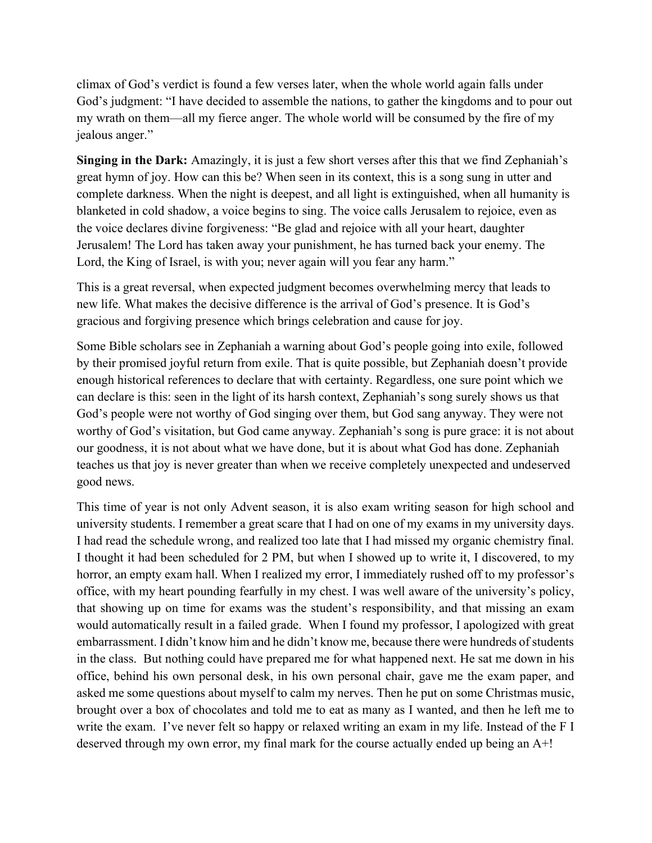climax of God's verdict is found a few verses later, when the whole world again falls under God's judgment: "I have decided to assemble the nations, to gather the kingdoms and to pour out my wrath on them—all my fierce anger. The whole world will be consumed by the fire of my jealous anger."

Singing in the Dark: Amazingly, it is just a few short verses after this that we find Zephaniah's great hymn of joy. How can this be? When seen in its context, this is a song sung in utter and complete darkness. When the night is deepest, and all light is extinguished, when all humanity is blanketed in cold shadow, a voice begins to sing. The voice calls Jerusalem to rejoice, even as the voice declares divine forgiveness: "Be glad and rejoice with all your heart, daughter Jerusalem! The Lord has taken away your punishment, he has turned back your enemy. The Lord, the King of Israel, is with you; never again will you fear any harm."

This is a great reversal, when expected judgment becomes overwhelming mercy that leads to new life. What makes the decisive difference is the arrival of God's presence. It is God's gracious and forgiving presence which brings celebration and cause for joy.

Some Bible scholars see in Zephaniah a warning about God's people going into exile, followed by their promised joyful return from exile. That is quite possible, but Zephaniah doesn't provide enough historical references to declare that with certainty. Regardless, one sure point which we can declare is this: seen in the light of its harsh context, Zephaniah's song surely shows us that God's people were not worthy of God singing over them, but God sang anyway. They were not worthy of God's visitation, but God came anyway. Zephaniah's song is pure grace: it is not about our goodness, it is not about what we have done, but it is about what God has done. Zephaniah teaches us that joy is never greater than when we receive completely unexpected and undeserved good news.

This time of year is not only Advent season, it is also exam writing season for high school and university students. I remember a great scare that I had on one of my exams in my university days. I had read the schedule wrong, and realized too late that I had missed my organic chemistry final. I thought it had been scheduled for 2 PM, but when I showed up to write it, I discovered, to my horror, an empty exam hall. When I realized my error, I immediately rushed off to my professor's office, with my heart pounding fearfully in my chest. I was well aware of the university's policy, that showing up on time for exams was the student's responsibility, and that missing an exam would automatically result in a failed grade. When I found my professor, I apologized with great embarrassment. I didn't know him and he didn't know me, because there were hundreds of students in the class. But nothing could have prepared me for what happened next. He sat me down in his office, behind his own personal desk, in his own personal chair, gave me the exam paper, and asked me some questions about myself to calm my nerves. Then he put on some Christmas music, brought over a box of chocolates and told me to eat as many as I wanted, and then he left me to write the exam. I've never felt so happy or relaxed writing an exam in my life. Instead of the F I deserved through my own error, my final mark for the course actually ended up being an A+!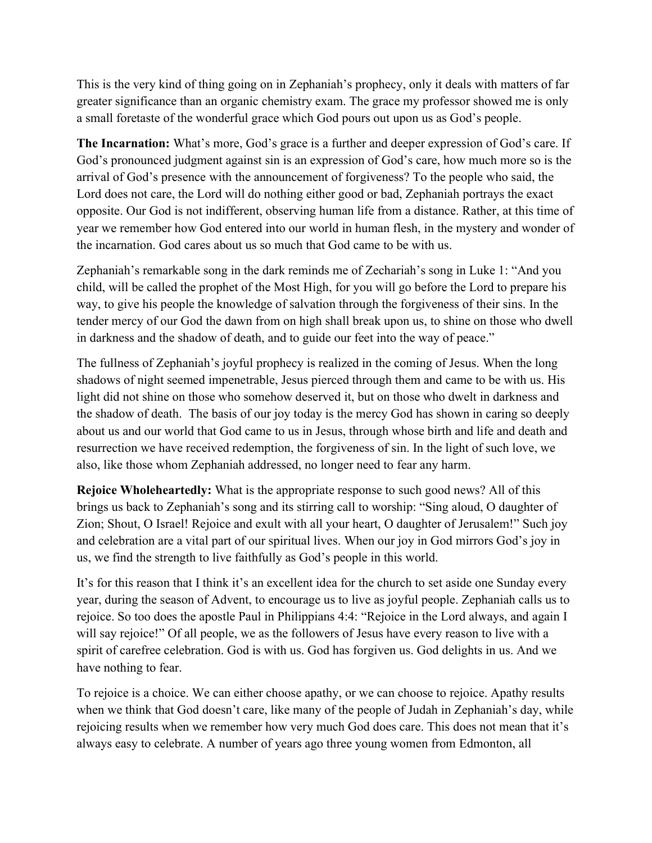This is the very kind of thing going on in Zephaniah's prophecy, only it deals with matters of far greater significance than an organic chemistry exam. The grace my professor showed me is only a small foretaste of the wonderful grace which God pours out upon us as God's people.

The Incarnation: What's more, God's grace is a further and deeper expression of God's care. If God's pronounced judgment against sin is an expression of God's care, how much more so is the arrival of God's presence with the announcement of forgiveness? To the people who said, the Lord does not care, the Lord will do nothing either good or bad, Zephaniah portrays the exact opposite. Our God is not indifferent, observing human life from a distance. Rather, at this time of year we remember how God entered into our world in human flesh, in the mystery and wonder of the incarnation. God cares about us so much that God came to be with us.

Zephaniah's remarkable song in the dark reminds me of Zechariah's song in Luke 1: "And you child, will be called the prophet of the Most High, for you will go before the Lord to prepare his way, to give his people the knowledge of salvation through the forgiveness of their sins. In the tender mercy of our God the dawn from on high shall break upon us, to shine on those who dwell in darkness and the shadow of death, and to guide our feet into the way of peace."

The fullness of Zephaniah's joyful prophecy is realized in the coming of Jesus. When the long shadows of night seemed impenetrable, Jesus pierced through them and came to be with us. His light did not shine on those who somehow deserved it, but on those who dwelt in darkness and the shadow of death. The basis of our joy today is the mercy God has shown in caring so deeply about us and our world that God came to us in Jesus, through whose birth and life and death and resurrection we have received redemption, the forgiveness of sin. In the light of such love, we also, like those whom Zephaniah addressed, no longer need to fear any harm.

Rejoice Wholeheartedly: What is the appropriate response to such good news? All of this brings us back to Zephaniah's song and its stirring call to worship: "Sing aloud, O daughter of Zion; Shout, O Israel! Rejoice and exult with all your heart, O daughter of Jerusalem!" Such joy and celebration are a vital part of our spiritual lives. When our joy in God mirrors God's joy in us, we find the strength to live faithfully as God's people in this world.

It's for this reason that I think it's an excellent idea for the church to set aside one Sunday every year, during the season of Advent, to encourage us to live as joyful people. Zephaniah calls us to rejoice. So too does the apostle Paul in Philippians 4:4: "Rejoice in the Lord always, and again I will say rejoice!" Of all people, we as the followers of Jesus have every reason to live with a spirit of carefree celebration. God is with us. God has forgiven us. God delights in us. And we have nothing to fear.

To rejoice is a choice. We can either choose apathy, or we can choose to rejoice. Apathy results when we think that God doesn't care, like many of the people of Judah in Zephaniah's day, while rejoicing results when we remember how very much God does care. This does not mean that it's always easy to celebrate. A number of years ago three young women from Edmonton, all